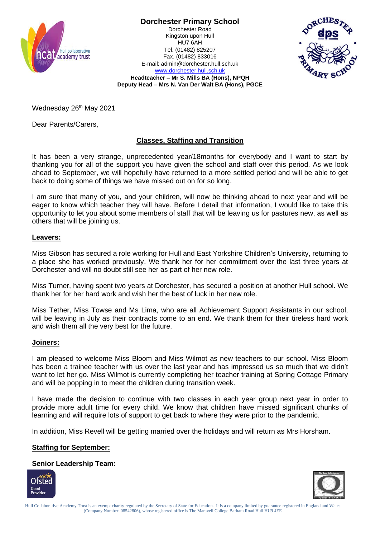

**Dorchester Primary School** Dorchester Road

Kingston upon Hull HU7 6AH Tel. (01482) 825207 Fax. (01482) 833016 E-mail: admin@dorchester.hull.sch.uk [www.dorchester.hull.sch.uk](http://www.dorchester.hull.sch.uk/)



**Headteacher – Mr S. Mills BA (Hons), NPQH Deputy Head – Mrs N. Van Der Walt BA (Hons), PGCE**

Wednesday 26<sup>th</sup> May 2021

Dear Parents/Carers,

# **Classes, Staffing and Transition**

It has been a very strange, unprecedented year/18months for everybody and I want to start by thanking you for all of the support you have given the school and staff over this period. As we look ahead to September, we will hopefully have returned to a more settled period and will be able to get back to doing some of things we have missed out on for so long.

I am sure that many of you, and your children, will now be thinking ahead to next year and will be eager to know which teacher they will have. Before I detail that information, I would like to take this opportunity to let you about some members of staff that will be leaving us for pastures new, as well as others that will be joining us.

## **Leavers:**

Miss Gibson has secured a role working for Hull and East Yorkshire Children's University, returning to a place she has worked previously. We thank her for her commitment over the last three years at Dorchester and will no doubt still see her as part of her new role.

Miss Turner, having spent two years at Dorchester, has secured a position at another Hull school. We thank her for her hard work and wish her the best of luck in her new role.

Miss Tether, Miss Towse and Ms Lima, who are all Achievement Support Assistants in our school, will be leaving in July as their contracts come to an end. We thank them for their tireless hard work and wish them all the very best for the future.

#### **Joiners:**

I am pleased to welcome Miss Bloom and Miss Wilmot as new teachers to our school. Miss Bloom has been a trainee teacher with us over the last year and has impressed us so much that we didn't want to let her go. Miss Wilmot is currently completing her teacher training at Spring Cottage Primary and will be popping in to meet the children during transition week.

I have made the decision to continue with two classes in each year group next year in order to provide more adult time for every child. We know that children have missed significant chunks of learning and will require lots of support to get back to where they were prior to the pandemic.

In addition, Miss Revell will be getting married over the holidays and will return as Mrs Horsham.

### **Staffing for September:**

**Senior Leadership Team:**